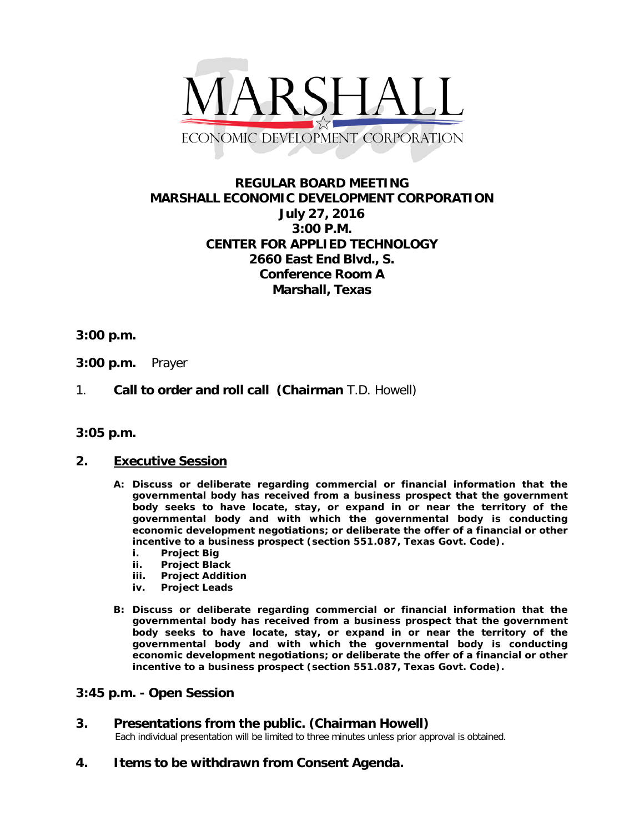

## **REGULAR BOARD MEETING MARSHALL ECONOMIC DEVELOPMENT CORPORATION July 27, 2016 3:00 P.M. CENTER FOR APPLIED TECHNOLOGY 2660 East End Blvd., S. Conference Room A Marshall, Texas**

### **3:00 p.m.**

- **3:00 p.m.** Prayer
- 1. **Call to order and roll call (Chairman** T.D. Howell)
- **3:05 p.m.**

#### **2. Executive Session**

- **A: Discuss or deliberate regarding commercial or financial information that the governmental body has received from a business prospect that the government body seeks to have locate, stay, or expand in or near the territory of the governmental body and with which the governmental body is conducting economic development negotiations; or deliberate the offer of a financial or other incentive to a business prospect (section 551.087, Texas Govt. Code).**
	- **i. Project Big**
	- **ii. Project Black**
	- **iii. Project Addition**
	- **iv. Project Leads**
- **B: Discuss or deliberate regarding commercial or financial information that the governmental body has received from a business prospect that the government body seeks to have locate, stay, or expand in or near the territory of the governmental body and with which the governmental body is conducting economic development negotiations; or deliberate the offer of a financial or other incentive to a business prospect (section 551.087, Texas Govt. Code).**

### **3:45 p.m. - Open Session**

# **3.** Presentations from the public. (Chairman Howell)<br>Each individual presentation will be limited to three minutes unless prior approval is obtained.

**4. Items to be withdrawn from Consent Agenda.**